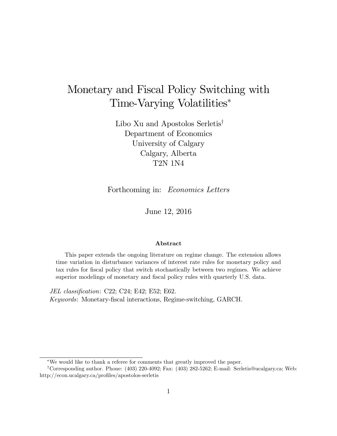## Monetary and Fiscal Policy Switching with Time-Varying Volatilities

Libo Xu and Apostolos Serletis<sup>†</sup> Department of Economics University of Calgary Calgary, Alberta T2N 1N4

Forthcoming in: Economics Letters

June 12, 2016

#### Abstract

This paper extends the ongoing literature on regime change. The extension allows time variation in disturbance variances of interest rate rules for monetary policy and tax rules for Öscal policy that switch stochastically between two regimes. We achieve superior modelings of monetary and fiscal policy rules with quarterly U.S. data.

JEL classification: C22; C24; E42; E52; E62. Keywords: Monetary-Öscal interactions, Regime-switching, GARCH.

We would like to thank a referee for comments that greatly improved the paper.

<sup>&</sup>lt;sup>†</sup>Corresponding author. Phone:  $(403)$  220-4092; Fax:  $(403)$  282-5262; E-mail: Serletis@ucalgary.ca; Web: http://econ.ucalgary.ca/profiles/apostolos-serletis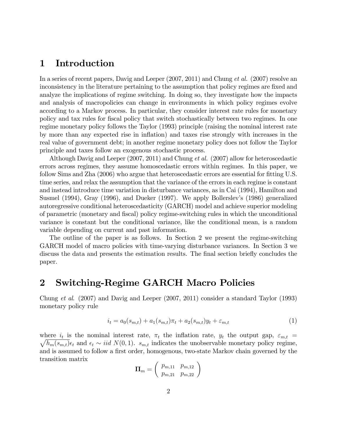### 1 Introduction

In a series of recent papers, Davig and Leeper  $(2007, 2011)$  and Chung *et al.*  $(2007)$  resolve an inconsistency in the literature pertaining to the assumption that policy regimes are fixed and analyze the implications of regime switching. In doing so, they investigate how the impacts and analysis of macropolicies can change in environments in which policy regimes evolve according to a Markov process. In particular, they consider interest rate rules for monetary policy and tax rules for Öscal policy that switch stochastically between two regimes. In one regime monetary policy follows the Taylor (1993) principle (raising the nominal interest rate by more than any expected rise in ináation) and taxes rise strongly with increases in the real value of government debt; in another regime monetary policy does not follow the Taylor principle and taxes follow an exogenous stochastic process.

Although Davig and Leeper (2007, 2011) and Chung et al. (2007) allow for heteroscedastic errors across regimes, they assume homoscedastic errors within regimes. In this paper, we follow Sims and Zha (2006) who argue that heteroscedastic errors are essential for fitting U.S. time series, and relax the assumption that the variance of the errors in each regime is constant and instead introduce time variation in disturbance variances, as in Cai (1994), Hamilton and Susmel (1994), Gray (1996), and Dueker (1997). We apply Bollerslev's (1986) generalized autoregressive conditional heteroscedasticity (GARCH) model and achieve superior modeling of parametric (monetary and Öscal) policy regime-switching rules in which the unconditional variance is constant but the conditional variance, like the conditional mean, is a random variable depending on current and past information.

The outline of the paper is as follows. In Section 2 we present the regime-switching GARCH model of macro policies with time-varying disturbance variances. In Section 3 we discuss the data and presents the estimation results. The final section briefly concludes the paper.

### 2 Switching-Regime GARCH Macro Policies

Chung et al. (2007) and Davig and Leeper (2007, 2011) consider a standard Taylor (1993) monetary policy rule

$$
i_t = a_0(s_{m,t}) + a_1(s_{m,t})\pi_t + a_2(s_{m,t})y_t + \varepsilon_{m,t}
$$
\n(1)

where  $i_t$  is the nominal interest rate,  $\pi_t$  the inflation rate,  $y_t$  the output gap,  $\varepsilon_{m,t}$  =  $\sqrt{h_m(s_{m,t})}\epsilon_t$  and  $\epsilon_t \sim \textit{iid } N(0, 1)$ .  $s_{m,t}$  indicates the unobservable monetary policy regime, and is assumed to follow a first order, homogenous, two-state Markov chain governed by the transition matrix

$$
\boldsymbol{\Pi}_m = \left(\begin{array}{cc} p_{m,11} & p_{m,12} \\ p_{m,21} & p_{m,22} \end{array}\right)
$$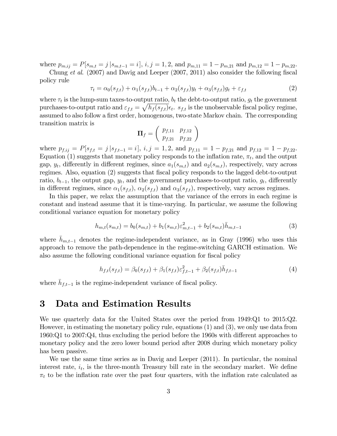where  $p_{m,ij} = P[s_{m,t} = j | s_{m,t-1} = i], i, j = 1, 2, \text{ and } p_{m,11} = 1 - p_{m,21} \text{ and } p_{m,12} = 1 - p_{m,22}.$ 

Chung et al.  $(2007)$  and Davig and Leeper  $(2007, 2011)$  also consider the following fiscal policy rule

$$
\tau_t = \alpha_0(s_{f,t}) + \alpha_1(s_{f,t})b_{t-1} + \alpha_2(s_{f,t})y_t + \alpha_3(s_{f,t})g_t + \varepsilon_{f,t} \tag{2}
$$

where  $\tau_t$  is the lump-sum taxes-to-output ratio,  $b_t$  the debt-to-output ratio,  $g_t$  the government purchases-to-output ratio and  $\varepsilon_{f,t} = \sqrt{h_f(s_{f,t})} \epsilon_t$ .  $s_{f,t}$  is the unobservable fiscal policy regime, assumed to also follow a first order, homogenous, two-state Markov chain. The corresponding transition matrix is

$$
\boldsymbol{\Pi}_f = \left( \begin{array}{cc} p_{f,11} & p_{f,12} \\ p_{f,21} & p_{f,22} \end{array} \right)
$$

where  $p_{f,ij} = P[s_{f,t} = j | s_{f,t-1} = i], i, j = 1, 2, \text{ and } p_{f,11} = 1 - p_{f,21} \text{ and } p_{f,12} = 1 - p_{f,22}.$ Equation (1) suggests that monetary policy responds to the inflation rate,  $\pi_t$ , and the output gap,  $y_t$ , differently in different regimes, since  $a_1(s_{m,t})$  and  $a_2(s_{m,t})$ , respectively, vary across regimes. Also, equation (2) suggests that fiscal policy responds to the lagged debt-to-output ratio,  $b_{t-1}$ , the output gap,  $y_t$ , and the government purchases-to-output ratio,  $g_t$ , differently in different regimes, since  $\alpha_1(s_{f,t}), \alpha_2(s_{f,t})$  and  $\alpha_3(s_{f,t}),$  respectively, vary across regimes.

In this paper, we relax the assumption that the variance of the errors in each regime is constant and instead assume that it is time-varying. In particular, we assume the following conditional variance equation for monetary policy

$$
h_{m,t}(s_{m,t}) = b_0(s_{m,t}) + b_1(s_{m,t})\varepsilon_{m,t-1}^2 + b_2(s_{m,t})\bar{h}_{m,t-1}
$$
\n(3)

where  $h_{m,t-1}$  denotes the regime-independent variance, as in Gray (1996) who uses this approach to remove the path-dependence in the regime-switching GARCH estimation. We also assume the following conditional variance equation for fiscal policy

$$
h_{f,t}(s_{f,t}) = \beta_0(s_{f,t}) + \beta_1(s_{f,t})\varepsilon_{f,t-1}^2 + \beta_2(s_{f,t})\bar{h}_{f,t-1}
$$
\n(4)

where  $\bar{h}_{f,t-1}$  is the regime-independent variance of fiscal policy.

### 3 Data and Estimation Results

We use quarterly data for the United States over the period from 1949:Q1 to 2015:Q2. However, in estimating the monetary policy rule, equations (1) and (3), we only use data from  $1960:Q1$  to  $2007:Q4$ , thus excluding the period before the 1960s with different approaches to monetary policy and the zero lower bound period after 2008 during which monetary policy has been passive.

We use the same time series as in Davig and Leeper (2011). In particular, the nominal interest rate,  $i_t$ , is the three-month Treasury bill rate in the secondary market. We define  $\pi_t$  to be the inflation rate over the past four quarters, with the inflation rate calculated as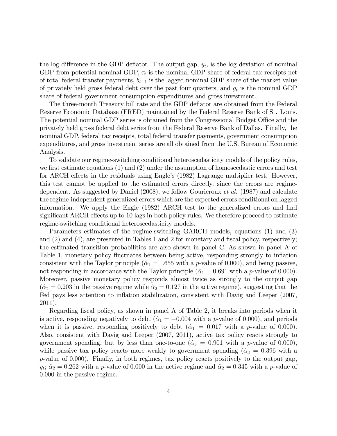the log difference in the GDP deflator. The output gap,  $y_t$ , is the log deviation of nominal GDP from potential nominal GDP,  $\tau_t$  is the nominal GDP share of federal tax receipts net of total federal transfer payments,  $b_{t-1}$  is the lagged nominal GDP share of the market value of privately held gross federal debt over the past four quarters, and  $g_t$  is the nominal GDP share of federal government consumption expenditures and gross investment.

The three-month Treasury bill rate and the GDP deflator are obtained from the Federal Reserve Economic Database (FRED) maintained by the Federal Reserve Bank of St. Louis. The potential nominal GDP series is obtained from the Congressional Budget Office and the privately held gross federal debt series from the Federal Reserve Bank of Dallas. Finally, the nominal GDP, federal tax receipts, total federal transfer payments, government consumption expenditures, and gross investment series are all obtained from the U.S. Bureau of Economic Analysis.

To validate our regime-switching conditional heteroscedasticity models of the policy rules, we first estimate equations  $(1)$  and  $(2)$  under the assumption of homoscedastic errors and test for ARCH effects in the residuals using Engle's  $(1982)$  Lagrange multiplier test. However, this test cannot be applied to the estimated errors directly, since the errors are regimedependent. As suggested by Daniel (2008), we follow Gourieroux et al. (1987) and calculate the regime-independent generalized errors which are the expected errors conditional on lagged information. We apply the Engle (1982) ARCH test to the generalized errors and find significant ARCH effects up to 10 lags in both policy rules. We therefore proceed to estimate regime-switching conditional heteroscedasticity models.

Parameters estimates of the regime-switching GARCH models, equations (1) and (3) and  $(2)$  and  $(4)$ , are presented in Tables 1 and 2 for monetary and fiscal policy, respectively; the estimated transition probabilities are also shown in panel C. As shown in panel A of Table 1, monetary policy fluctuates between being active, responding strongly to inflation consistent with the Taylor principle ( $\hat{\alpha}_1 = 1.655$  with a p-value of 0.000), and being passive, not responding in accordance with the Taylor principle ( $\hat{\alpha}_1 = 0.691$  with a p-value of 0.000). Moreover, passive monetary policy responds almost twice as strongly to the output gap  $(\hat{\alpha}_2 = 0.203$  in the passive regime while  $\hat{\alpha}_2 = 0.127$  in the active regime), suggesting that the Fed pays less attention to inflation stabilization, consistent with Davig and Leeper (2007, 2011).

Regarding fiscal policy, as shown in panel A of Table 2, it breaks into periods when it is active, responding negatively to debt ( $\hat{\alpha}_1 = -0.004$  with a p-value of 0.000), and periods when it is passive, responding positively to debt  $(\hat{\alpha}_1 = 0.017 \text{ with a } p\text{-value of } 0.000)$ . Also, consistent with Davig and Leeper (2007, 2011), active tax policy reacts strongly to government spending, but by less than one-to-one ( $\hat{\alpha}_3 = 0.901$  with a p-value of 0.000), while passive tax policy reacts more weakly to government spending ( $\hat{\alpha}_3 = 0.396$  with a p-value of 0:000). Finally, in both regimes, tax policy reacts positively to the output gap,  $y_t$ ;  $\hat{\alpha}_2 = 0.262$  with a p-value of 0.000 in the active regime and  $\hat{\alpha}_2 = 0.345$  with a p-value of 0:000 in the passive regime.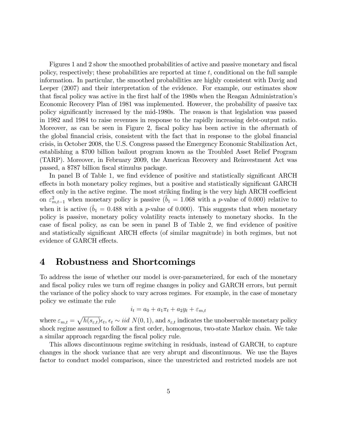Figures 1 and 2 show the smoothed probabilities of active and passive monetary and fiscal policy, respectively; these probabilities are reported at time  $t$ , conditional on the full sample information. In particular, the smoothed probabilities are highly consistent with Davig and Leeper (2007) and their interpretation of the evidence. For example, our estimates show that fiscal policy was active in the first half of the 1980s when the Reagan Administration's Economic Recovery Plan of 1981 was implemented. However, the probability of passive tax policy signiÖcantly increased by the mid-1980s. The reason is that legislation was passed in 1982 and 1984 to raise revenues in response to the rapidly increasing debt-output ratio. Moreover, as can be seen in Figure 2, fiscal policy has been active in the aftermath of the global financial crisis, consistent with the fact that in response to the global financial crisis, in October 2008, the U.S. Congress passed the Emergency Economic Stabilization Act, establishing a \$700 billion bailout program known as the Troubled Asset Relief Program (TARP). Moreover, in February 2009, the American Recovery and Reinvestment Act was passed, a \$787 billion Öscal stimulus package.

In panel B of Table 1, we find evidence of positive and statistically significant ARCH effects in both monetary policy regimes, but a positive and statistically significant GARCH effect only in the active regime. The most striking finding is the very high ARCH coefficient on  $\varepsilon_{m,t-1}^2$  when monetary policy is passive  $(\hat{b}_1 = 1.068$  with a p-value of 0.000) relative to when it is active  $(\hat{b}_1 = 0.488$  with a p-value of 0.000). This suggests that when monetary policy is passive, monetary policy volatility reacts intensely to monetary shocks. In the case of fiscal policy, as can be seen in panel B of Table 2, we find evidence of positive and statistically significant ARCH effects (of similar magnitude) in both regimes, but not evidence of GARCH effects.

#### 4 Robustness and Shortcomings

To address the issue of whether our model is over-parameterized, for each of the monetary and fiscal policy rules we turn off regime changes in policy and GARCH errors, but permit the variance of the policy shock to vary across regimes. For example, in the case of monetary policy we estimate the rule

$$
i_t = a_0 + a_1 \pi_t + a_2 y_t + \varepsilon_{m,t}
$$

where  $\varepsilon_{m,t} = \sqrt{h(s_{\varepsilon,t})} \epsilon_t$ ,  $\epsilon_t \sim iid \ N(0, 1)$ , and  $s_{\varepsilon,t}$  indicates the unobservable monetary policy shock regime assumed to follow a first order, homogenous, two-state Markov chain. We take a similar approach regarding the fiscal policy rule.

This allows discontinuous regime switching in residuals, instead of GARCH, to capture changes in the shock variance that are very abrupt and discontinuous. We use the Bayes factor to conduct model comparison, since the unrestricted and restricted models are not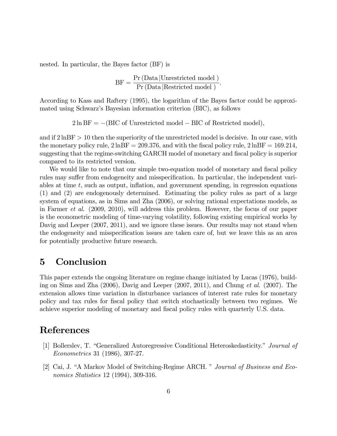nested. In particular, the Bayes factor (BF) is

$$
BF = \frac{Pr(Data | Unrestricted model)}{Pr(Data |Restricted model)}.
$$

According to Kass and Raftery (1995), the logarithm of the Bayes factor could be approximated using Schwarz's Bayesian information criterion (BIC), as follows

 $2 \ln BF = -(BIC \text{ of Unrestricted model} - BIC \text{ of Restricted model}),$ 

and if  $2 \ln BF > 10$  then the superiority of the unrestricted model is decisive. In our case, with the monetary policy rule,  $2 \text{lnBF} = 209.376$ , and with the fiscal policy rule,  $2 \text{lnBF} = 169.214$ . suggesting that the regime-switching GARCH model of monetary and fiscal policy is superior compared to its restricted version.

We would like to note that our simple two-equation model of monetary and fiscal policy rules may suffer from endogeneity and misspecification. In particular, the independent variables at time  $t$ , such as output, inflation, and government spending, in regression equations (1) and (2) are endogenously determined. Estimating the policy rules as part of a large system of equations, as in Sims and Zha (2006), or solving rational expectations models, as in Farmer et al. (2009, 2010), will address this problem. However, the focus of our paper is the econometric modeling of time-varying volatility, following existing empirical works by Davig and Leeper  $(2007, 2011)$ , and we ignore these issues. Our results may not stand when the endogeneity and misspecification issues are taken care of, but we leave this as an area for potentially productive future research.

### 5 Conclusion

This paper extends the ongoing literature on regime change initiated by Lucas (1976), building on Sims and Zha (2006), Davig and Leeper (2007, 2011), and Chung et al. (2007). The extension allows time variation in disturbance variances of interest rate rules for monetary policy and tax rules for Öscal policy that switch stochastically between two regimes. We achieve superior modeling of monetary and fiscal policy rules with quarterly U.S. data.

### References

- [1] Bollerslev, T. "Generalized Autoregressive Conditional Heteroskedasticity." *Journal of* Econometrics 31 (1986), 307-27.
- [2] Cai, J. "A Markov Model of Switching-Regime ARCH. " Journal of Business and Economics Statistics 12 (1994), 309-316.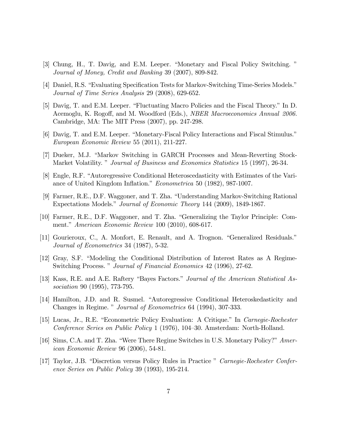- [3] Chung, H., T. Davig, and E.M. Leeper. "Monetary and Fiscal Policy Switching." Journal of Money, Credit and Banking 39 (2007), 809-842.
- [4] Daniel, R.S. "Evaluating Specification Tests for Markov-Switching Time-Series Models." Journal of Time Series Analysis 29 (2008), 629-652.
- [5] Davig, T. and E.M. Leeper. "Fluctuating Macro Policies and the Fiscal Theory." In D. Acemoglu, K. Rogoff, and M. Woodford (Eds.), *NBER Macroeconomics Annual 2006*. Cambridge, MA: The MIT Press (2007), pp. 247-298.
- [6] Davig, T. and E.M. Leeper. "Monetary-Fiscal Policy Interactions and Fiscal Stimulus." European Economic Review 55 (2011), 211-227.
- [7] Dueker, M.J. "Markov Switching in GARCH Processes and Mean-Reverting Stock-Market Volatility. *" Journal of Business and Economics Statistics* 15 (1997), 26-34.
- [8] Engle, R.F. "Autoregressive Conditional Heteroscedasticity with Estimates of the Variance of United Kingdom Inflation." Econometrica 50 (1982), 987-1007.
- [9] Farmer, R.E., D.F. Waggoner, and T. Zha. "Understanding Markov-Switching Rational Expectations Models." Journal of Economic Theory 144 (2009), 1849-1867.
- [10] Farmer, R.E., D.F. Waggoner, and T. Zha. "Generalizing the Taylor Principle: Comment." American Economic Review 100 (2010), 608-617.
- [11] Gourieroux, C., A. Monfort, E. Renault, and A. Trognon. "Generalized Residuals." Journal of Econometrics 34 (1987), 5-32.
- [12] Gray, S.F. "Modeling the Conditional Distribution of Interest Rates as A Regime-Switching Process." Journal of Financial Economics 42 (1996), 27-62.
- [13] Kass, R.E. and A.E. Raftery "Bayes Factors." Journal of the American Statistical Association 90 (1995), 773-795.
- [14] Hamilton, J.D. and R. Susmel. "Autoregressive Conditional Heteroskedasticity and Changes in Regime. " Journal of Econometrics 64 (1994), 307-333.
- [15] Lucas, Jr., R.E. "Econometric Policy Evaluation: A Critique." In *Carnegie-Rochester* Conference Series on Public Policy 1 (1976), 104–30. Amsterdam: North-Holland.
- [16] Sims, C.A. and T. Zha. "Were There Regime Switches in U.S. Monetary Policy?" American Economic Review 96 (2006), 54-81.
- [17] Taylor, J.B. "Discretion versus Policy Rules in Practice " Carnegie-Rochester Conference Series on Public Policy 39 (1993), 195-214.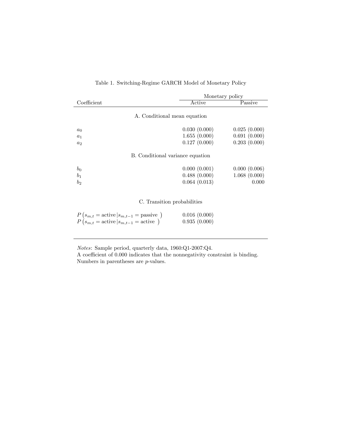|                                  |                              | Monetary policy |  |  |
|----------------------------------|------------------------------|-----------------|--|--|
| Coefficient                      | Active                       | Passive         |  |  |
|                                  | A. Conditional mean equation |                 |  |  |
| $a_0$                            | 0.030(0.000)                 | 0.025(0.000)    |  |  |
| $a_1$                            | 1.655(0.000)                 | 0.691(0.000)    |  |  |
| a <sub>2</sub>                   | 0.127(0.000)                 | 0.203(0.000)    |  |  |
| B. Conditional variance equation |                              |                 |  |  |
| $b_0$                            | 0.000(0.001)                 | 0.000(0.006)    |  |  |
| b <sub>1</sub>                   | 0.488(0.000)                 | 1.068(0.000)    |  |  |
| b <sub>2</sub>                   | 0.064(0.013)                 | 0.000           |  |  |
|                                  | C. Transition probabilities  |                 |  |  |

#### Table 1. Switching-Regime GARCH Model of Monetary Policy

| $P(s_{m,t} = \text{active}   s_{m,t-1} = \text{passive})$ | 0.016(0.000) |
|-----------------------------------------------------------|--------------|
| $P(s_{m,t} = \text{active}   s_{m,t-1} = \text{active})$  | 0.935(0.000) |

Notes: Sample period, quarterly data, 1960:Q1-2007:Q4.

A coefficient of  $0.000$  indicates that the nonnegativity constraint is binding. Numbers in parentheses are p-values.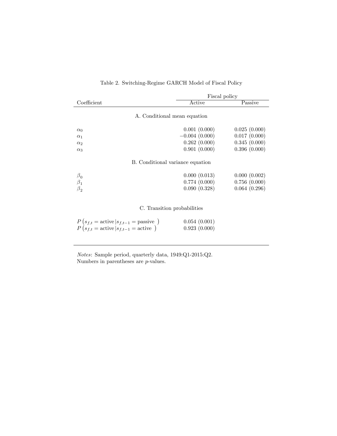|                                                                                                                       | Fiscal policy                |              |  |  |
|-----------------------------------------------------------------------------------------------------------------------|------------------------------|--------------|--|--|
| Coefficient                                                                                                           | Active                       | Passive      |  |  |
| A. Conditional mean equation                                                                                          |                              |              |  |  |
| $\alpha_0$                                                                                                            | 0.001(0.000)                 | 0.025(0.000) |  |  |
| $\alpha_1$                                                                                                            | $-0.004(0.000)$              | 0.017(0.000) |  |  |
| $\alpha_2$                                                                                                            | 0.262(0.000)                 | 0.345(0.000) |  |  |
| $\alpha_3$                                                                                                            | 0.901(0.000)                 | 0.396(0.000) |  |  |
| B. Conditional variance equation                                                                                      |                              |              |  |  |
|                                                                                                                       | 0.000(0.013)                 | 0.000(0.002) |  |  |
| $\frac{\beta_0}{\beta_1}$                                                                                             | 0.774(0.000)                 | 0.756(0.000) |  |  |
| $\beta_{2}$                                                                                                           | 0.090(0.328)                 | 0.064(0.296) |  |  |
|                                                                                                                       |                              |              |  |  |
| C. Transition probabilities                                                                                           |                              |              |  |  |
| $P(s_{f,t} = \text{active}   s_{f,t-1} = \text{passive})$<br>$P(s_{f,t} = \text{active}   s_{f,t-1} = \text{active})$ | 0.054(0.001)<br>0.923(0.000) |              |  |  |

#### Table 2. Switching-Regime GARCH Model of Fiscal Policy

Notes: Sample period, quarterly data, 1949:Q1-2015:Q2. Numbers in parentheses are *p*-values.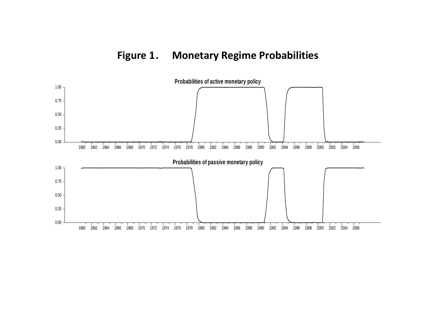# **Figure 1**. **Monetary Regime Probabilities**